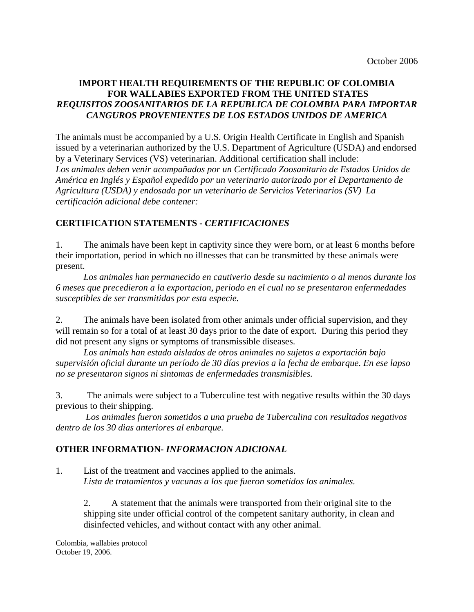## **IMPORT HEALTH REQUIREMENTS OF THE REPUBLIC OF COLOMBIA FOR WALLABIES EXPORTED FROM THE UNITED STATES**  *REQUISITOS ZOOSANITARIOS DE LA REPUBLICA DE COLOMBIA PARA IMPORTAR CANGUROS PROVENIENTES DE LOS ESTADOS UNIDOS DE AMERICA*

The animals must be accompanied by a U.S. Origin Health Certificate in English and Spanish issued by a veterinarian authorized by the U.S. Department of Agriculture (USDA) and endorsed by a Veterinary Services (VS) veterinarian. Additional certification shall include: *Los animales deben venir acompañados por un Certificado Zoosanitario de Estados Unidos de América en Inglés y Español expedido por un veterinario autorizado por el Departamento de Agricultura (USDA) y endosado por un veterinario de Servicios Veterinarios (SV) La certificación adicional debe contener:* 

## **CERTIFICATION STATEMENTS -** *CERTIFICACIONES*

1. The animals have been kept in captivity since they were born, or at least 6 months before their importation, period in which no illnesses that can be transmitted by these animals were present.

*Los animales han permanecido en cautiverio desde su nacimiento o al menos durante los 6 meses que precedieron a la exportacion, periodo en el cual no se presentaron enfermedades susceptibles de ser transmitidas por esta especie.* 

2. The animals have been isolated from other animals under official supervision, and they will remain so for a total of at least 30 days prior to the date of export. During this period they did not present any signs or symptoms of transmissible diseases.

 *Los animals han estado aislados de otros animales no sujetos a exportación bajo supervisión oficial durante un período de 30 días previos a la fecha de embarque. En ese lapso no se presentaron signos ni sintomas de enfermedades transmisibles.* 

3. The animals were subject to a Tuberculine test with negative results within the 30 days previous to their shipping.

 *Los animales fueron sometidos a una prueba de Tuberculina con resultados negativos dentro de los 30 dias anteriores al enbarque.* 

## **OTHER INFORMATION-** *INFORMACION ADICIONAL*

1. List of the treatment and vaccines applied to the animals.  *Lista de tratamientos y vacunas a los que fueron sometidos los animales.* 

2. A statement that the animals were transported from their original site to the shipping site under official control of the competent sanitary authority, in clean and disinfected vehicles, and without contact with any other animal.